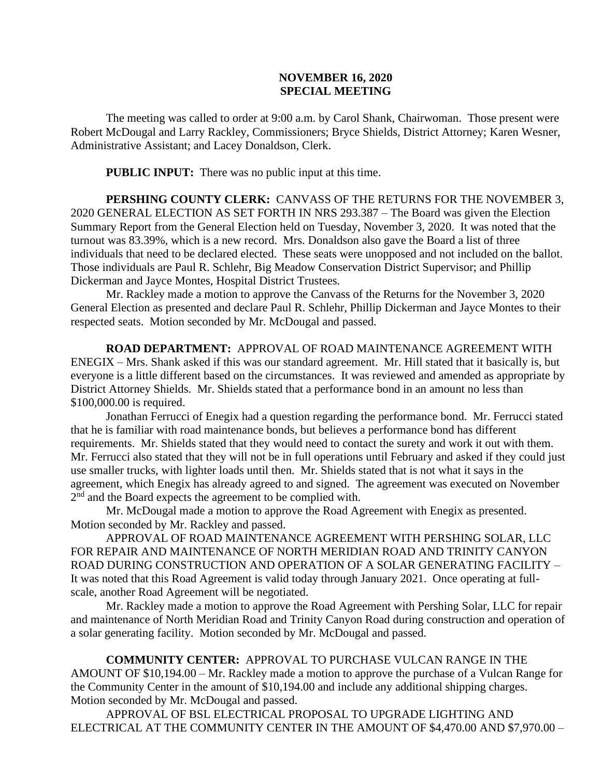## **NOVEMBER 16, 2020 SPECIAL MEETING**

The meeting was called to order at 9:00 a.m. by Carol Shank, Chairwoman. Those present were Robert McDougal and Larry Rackley, Commissioners; Bryce Shields, District Attorney; Karen Wesner, Administrative Assistant; and Lacey Donaldson, Clerk.

**PUBLIC INPUT:** There was no public input at this time.

**PERSHING COUNTY CLERK:** CANVASS OF THE RETURNS FOR THE NOVEMBER 3, 2020 GENERAL ELECTION AS SET FORTH IN NRS 293.387 – The Board was given the Election Summary Report from the General Election held on Tuesday, November 3, 2020. It was noted that the turnout was 83.39%, which is a new record. Mrs. Donaldson also gave the Board a list of three individuals that need to be declared elected. These seats were unopposed and not included on the ballot. Those individuals are Paul R. Schlehr, Big Meadow Conservation District Supervisor; and Phillip Dickerman and Jayce Montes, Hospital District Trustees.

Mr. Rackley made a motion to approve the Canvass of the Returns for the November 3, 2020 General Election as presented and declare Paul R. Schlehr, Phillip Dickerman and Jayce Montes to their respected seats. Motion seconded by Mr. McDougal and passed.

**ROAD DEPARTMENT:** APPROVAL OF ROAD MAINTENANCE AGREEMENT WITH ENEGIX – Mrs. Shank asked if this was our standard agreement. Mr. Hill stated that it basically is, but everyone is a little different based on the circumstances. It was reviewed and amended as appropriate by District Attorney Shields. Mr. Shields stated that a performance bond in an amount no less than \$100,000.00 is required.

Jonathan Ferrucci of Enegix had a question regarding the performance bond. Mr. Ferrucci stated that he is familiar with road maintenance bonds, but believes a performance bond has different requirements. Mr. Shields stated that they would need to contact the surety and work it out with them. Mr. Ferrucci also stated that they will not be in full operations until February and asked if they could just use smaller trucks, with lighter loads until then. Mr. Shields stated that is not what it says in the agreement, which Enegix has already agreed to and signed. The agreement was executed on November 2<sup>nd</sup> and the Board expects the agreement to be complied with.

Mr. McDougal made a motion to approve the Road Agreement with Enegix as presented. Motion seconded by Mr. Rackley and passed.

APPROVAL OF ROAD MAINTENANCE AGREEMENT WITH PERSHING SOLAR, LLC FOR REPAIR AND MAINTENANCE OF NORTH MERIDIAN ROAD AND TRINITY CANYON ROAD DURING CONSTRUCTION AND OPERATION OF A SOLAR GENERATING FACILITY – It was noted that this Road Agreement is valid today through January 2021. Once operating at fullscale, another Road Agreement will be negotiated.

Mr. Rackley made a motion to approve the Road Agreement with Pershing Solar, LLC for repair and maintenance of North Meridian Road and Trinity Canyon Road during construction and operation of a solar generating facility. Motion seconded by Mr. McDougal and passed.

**COMMUNITY CENTER:** APPROVAL TO PURCHASE VULCAN RANGE IN THE AMOUNT OF \$10,194.00 – Mr. Rackley made a motion to approve the purchase of a Vulcan Range for the Community Center in the amount of \$10,194.00 and include any additional shipping charges. Motion seconded by Mr. McDougal and passed.

APPROVAL OF BSL ELECTRICAL PROPOSAL TO UPGRADE LIGHTING AND ELECTRICAL AT THE COMMUNITY CENTER IN THE AMOUNT OF \$4,470.00 AND \$7,970.00 –